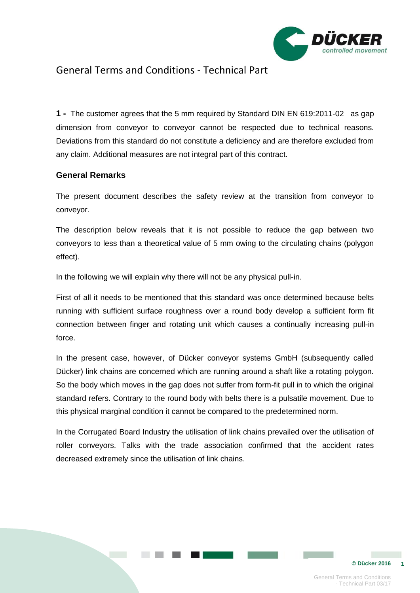

## General Terms and Conditions - Technical Part

**1 -** The customer agrees that the 5 mm required by Standard DIN EN 619:2011-02 as gap dimension from conveyor to conveyor cannot be respected due to technical reasons. Deviations from this standard do not constitute a deficiency and are therefore excluded from any claim. Additional measures are not integral part of this contract.

### **General Remarks**

The present document describes the safety review at the transition from conveyor to conveyor.

The description below reveals that it is not possible to reduce the gap between two conveyors to less than a theoretical value of 5 mm owing to the circulating chains (polygon effect).

In the following we will explain why there will not be any physical pull-in.

First of all it needs to be mentioned that this standard was once determined because belts running with sufficient surface roughness over a round body develop a sufficient form fit connection between finger and rotating unit which causes a continually increasing pull-in force.

In the present case, however, of Dücker conveyor systems GmbH (subsequently called Dücker) link chains are concerned which are running around a shaft like a rotating polygon. So the body which moves in the gap does not suffer from form-fit pull in to which the original standard refers. Contrary to the round body with belts there is a pulsatile movement. Due to this physical marginal condition it cannot be compared to the predetermined norm.

In the Corrugated Board Industry the utilisation of link chains prevailed over the utilisation of roller conveyors. Talks with the trade association confirmed that the accident rates decreased extremely since the utilisation of link chains.

**© Dücker 2016 1**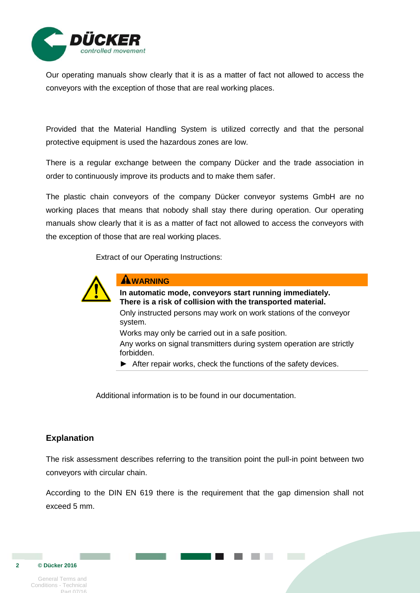

Our operating manuals show clearly that it is as a matter of fact not allowed to access the conveyors with the exception of those that are real working places.

Provided that the Material Handling System is utilized correctly and that the personal protective equipment is used the hazardous zones are low.

There is a regular exchange between the company Dücker and the trade association in order to continuously improve its products and to make them safer.

The plastic chain conveyors of the company Dücker conveyor systems GmbH are no working places that means that nobody shall stay there during operation. Our operating manuals show clearly that it is as a matter of fact not allowed to access the conveyors with the exception of those that are real working places.

Extract of our Operating Instructions:



#### **AWARNING**

**In automatic mode, conveyors start running immediately. There is a risk of collision with the transported material.**

Only instructed persons may work on work stations of the conveyor system.

Works may only be carried out in a safe position.

Any works on signal transmitters during system operation are strictly forbidden.

► After repair works, check the functions of the safety devices.

Additional information is to be found in our documentation.

### **Explanation**

The risk assessment describes referring to the transition point the pull-in point between two conveyors with circular chain.

According to the DIN EN 619 there is the requirement that the gap dimension shall not exceed 5 mm.

General Terms and Conditions - Technical

**2**

 **© Dücker 2016** 

Part 07/16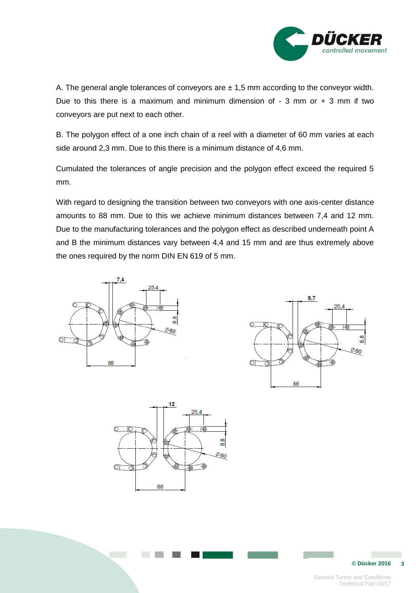

A. The general angle tolerances of conveyors are  $\pm 1.5$  mm according to the conveyor width. Due to this there is a maximum and minimum dimension of  $-3$  mm or  $+3$  mm if two conveyors are put next to each other.

B. The polygon effect of a one inch chain of a reel with a diameter of 60 mm varies at each side around 2,3 mm. Due to this there is a minimum distance of 4,6 mm.

Cumulated the tolerances of angle precision and the polygon effect exceed the required 5 mm.

With regard to designing the transition between two conveyors with one axis-center distance amounts to 88 mm. Due to this we achieve minimum distances between 7,4 and 12 mm. Due to the manufacturing tolerances and the polygon effect as described underneath point A and B the minimum distances vary between 4,4 and 15 mm and are thus extremely above the ones required by the norm DIN EN 619 of 5 mm.





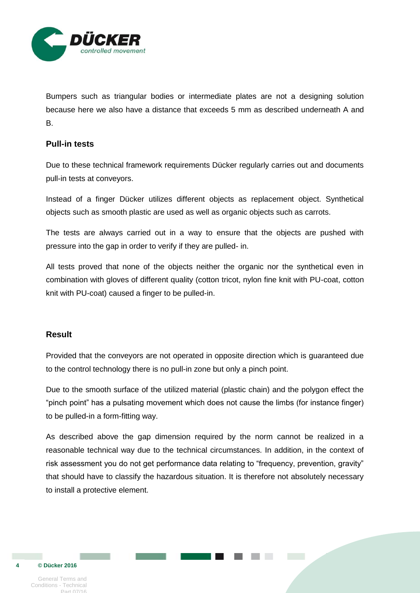

Bumpers such as triangular bodies or intermediate plates are not a designing solution because here we also have a distance that exceeds 5 mm as described underneath A and B.

## **Pull-in tests**

Due to these technical framework requirements Dücker regularly carries out and documents pull-in tests at conveyors.

Instead of a finger Dücker utilizes different objects as replacement object. Synthetical objects such as smooth plastic are used as well as organic objects such as carrots.

The tests are always carried out in a way to ensure that the objects are pushed with pressure into the gap in order to verify if they are pulled- in.

All tests proved that none of the objects neither the organic nor the synthetical even in combination with gloves of different quality (cotton tricot, nylon fine knit with PU-coat, cotton knit with PU-coat) caused a finger to be pulled-in.

#### **Result**

Provided that the conveyors are not operated in opposite direction which is guaranteed due to the control technology there is no pull-in zone but only a pinch point.

Due to the smooth surface of the utilized material (plastic chain) and the polygon effect the "pinch point" has a pulsating movement which does not cause the limbs (for instance finger) to be pulled-in a form-fitting way.

As described above the gap dimension required by the norm cannot be realized in a reasonable technical way due to the technical circumstances. In addition, in the context of risk assessment you do not get performance data relating to "frequency, prevention, gravity" that should have to classify the hazardous situation. It is therefore not absolutely necessary to install a protective element.

General Terms and Conditions - Technical Part 07/16

 **© Dücker 2016** 

**4**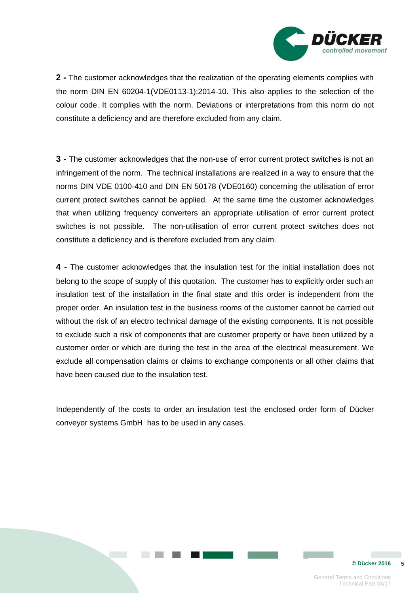

**2 -** The customer acknowledges that the realization of the operating elements complies with the norm DIN EN 60204-1(VDE0113-1):2014-10. This also applies to the selection of the colour code. It complies with the norm. Deviations or interpretations from this norm do not constitute a deficiency and are therefore excluded from any claim.

**3 -** The customer acknowledges that the non-use of error current protect switches is not an infringement of the norm. The technical installations are realized in a way to ensure that the norms DIN VDE 0100-410 and DIN EN 50178 (VDE0160) concerning the utilisation of error current protect switches cannot be applied. At the same time the customer acknowledges that when utilizing frequency converters an appropriate utilisation of error current protect switches is not possible. The non-utilisation of error current protect switches does not constitute a deficiency and is therefore excluded from any claim.

**4 -** The customer acknowledges that the insulation test for the initial installation does not belong to the scope of supply of this quotation. The customer has to explicitly order such an insulation test of the installation in the final state and this order is independent from the proper order. An insulation test in the business rooms of the customer cannot be carried out without the risk of an electro technical damage of the existing components. It is not possible to exclude such a risk of components that are customer property or have been utilized by a customer order or which are during the test in the area of the electrical measurement. We exclude all compensation claims or claims to exchange components or all other claims that have been caused due to the insulation test.

Independently of the costs to order an insulation test the enclosed order form of Dücker conveyor systems GmbH has to be used in any cases.